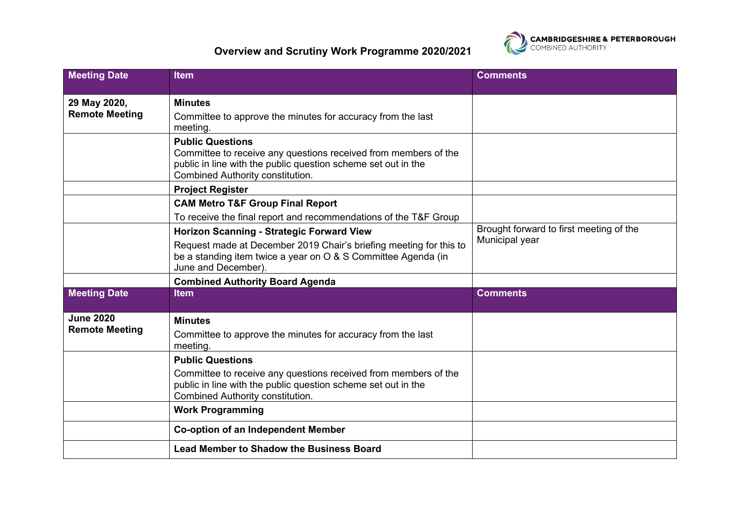

## **Overview and Scrutiny Work Programme 2020/2021**

| <b>Meeting Date</b>                       | <b>Item</b>                                                                                                                                                                                                    | <b>Comments</b>                                           |
|-------------------------------------------|----------------------------------------------------------------------------------------------------------------------------------------------------------------------------------------------------------------|-----------------------------------------------------------|
| 29 May 2020,<br><b>Remote Meeting</b>     | <b>Minutes</b><br>Committee to approve the minutes for accuracy from the last<br>meeting.                                                                                                                      |                                                           |
|                                           | <b>Public Questions</b><br>Committee to receive any questions received from members of the<br>public in line with the public question scheme set out in the<br><b>Combined Authority constitution.</b>         |                                                           |
|                                           | <b>Project Register</b>                                                                                                                                                                                        |                                                           |
|                                           | <b>CAM Metro T&amp;F Group Final Report</b>                                                                                                                                                                    |                                                           |
|                                           | To receive the final report and recommendations of the T&F Group                                                                                                                                               |                                                           |
|                                           | <b>Horizon Scanning - Strategic Forward View</b><br>Request made at December 2019 Chair's briefing meeting for this to<br>be a standing item twice a year on O & S Committee Agenda (in<br>June and December). | Brought forward to first meeting of the<br>Municipal year |
|                                           | <b>Combined Authority Board Agenda</b>                                                                                                                                                                         |                                                           |
| <b>Meeting Date</b>                       | <b>Item</b>                                                                                                                                                                                                    | <b>Comments</b>                                           |
| <b>June 2020</b><br><b>Remote Meeting</b> | <b>Minutes</b><br>Committee to approve the minutes for accuracy from the last<br>meeting.                                                                                                                      |                                                           |
|                                           | <b>Public Questions</b><br>Committee to receive any questions received from members of the<br>public in line with the public question scheme set out in the<br><b>Combined Authority constitution.</b>         |                                                           |
|                                           | <b>Work Programming</b>                                                                                                                                                                                        |                                                           |
|                                           | <b>Co-option of an Independent Member</b>                                                                                                                                                                      |                                                           |
|                                           | <b>Lead Member to Shadow the Business Board</b>                                                                                                                                                                |                                                           |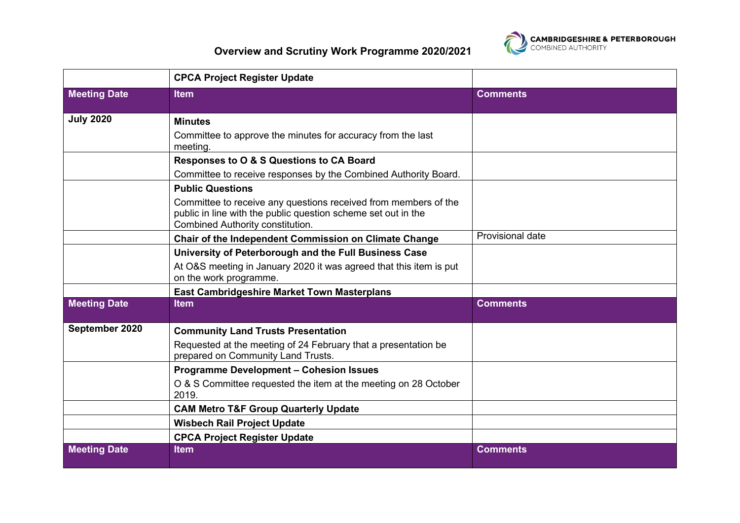

|                     | <b>CPCA Project Register Update</b>                                                                                                                                         |                  |
|---------------------|-----------------------------------------------------------------------------------------------------------------------------------------------------------------------------|------------------|
| <b>Meeting Date</b> | <b>Item</b>                                                                                                                                                                 | <b>Comments</b>  |
| <b>July 2020</b>    | <b>Minutes</b>                                                                                                                                                              |                  |
|                     | Committee to approve the minutes for accuracy from the last<br>meeting.                                                                                                     |                  |
|                     | Responses to O & S Questions to CA Board                                                                                                                                    |                  |
|                     | Committee to receive responses by the Combined Authority Board.                                                                                                             |                  |
|                     | <b>Public Questions</b>                                                                                                                                                     |                  |
|                     | Committee to receive any questions received from members of the<br>public in line with the public question scheme set out in the<br><b>Combined Authority constitution.</b> |                  |
|                     | Chair of the Independent Commission on Climate Change                                                                                                                       | Provisional date |
|                     | University of Peterborough and the Full Business Case                                                                                                                       |                  |
|                     | At O&S meeting in January 2020 it was agreed that this item is put<br>on the work programme.                                                                                |                  |
|                     | <b>East Cambridgeshire Market Town Masterplans</b>                                                                                                                          |                  |
| <b>Meeting Date</b> | <b>Item</b>                                                                                                                                                                 | <b>Comments</b>  |
| September 2020      | <b>Community Land Trusts Presentation</b>                                                                                                                                   |                  |
|                     | Requested at the meeting of 24 February that a presentation be<br>prepared on Community Land Trusts.                                                                        |                  |
|                     | <b>Programme Development - Cohesion Issues</b>                                                                                                                              |                  |
|                     | O & S Committee requested the item at the meeting on 28 October<br>2019.                                                                                                    |                  |
|                     | <b>CAM Metro T&amp;F Group Quarterly Update</b>                                                                                                                             |                  |
|                     | <b>Wisbech Rail Project Update</b>                                                                                                                                          |                  |
|                     | <b>CPCA Project Register Update</b>                                                                                                                                         |                  |
| <b>Meeting Date</b> | <b>Item</b>                                                                                                                                                                 | <b>Comments</b>  |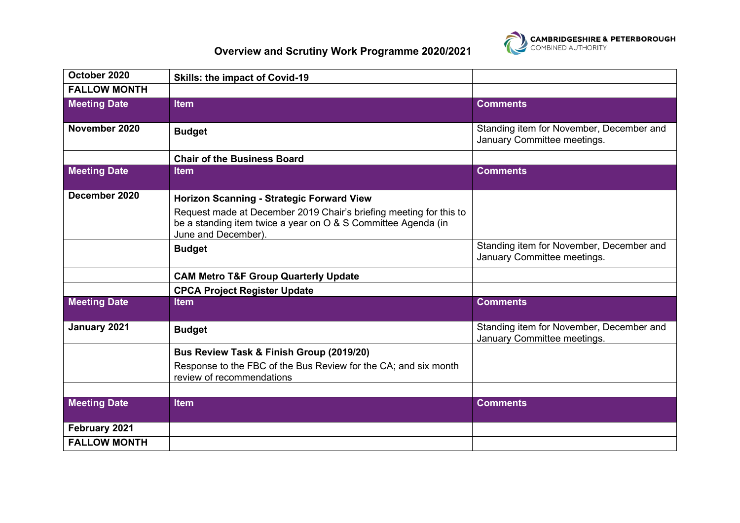

## **Overview and Scrutiny Work Programme 2020/2021**

| October 2020        | <b>Skills: the impact of Covid-19</b>                                                                                                                                                                          |                                                                         |
|---------------------|----------------------------------------------------------------------------------------------------------------------------------------------------------------------------------------------------------------|-------------------------------------------------------------------------|
| <b>FALLOW MONTH</b> |                                                                                                                                                                                                                |                                                                         |
| <b>Meeting Date</b> | <b>Item</b>                                                                                                                                                                                                    | <b>Comments</b>                                                         |
| November 2020       | <b>Budget</b>                                                                                                                                                                                                  | Standing item for November, December and<br>January Committee meetings. |
|                     | <b>Chair of the Business Board</b>                                                                                                                                                                             |                                                                         |
| <b>Meeting Date</b> | <b>Item</b>                                                                                                                                                                                                    | <b>Comments</b>                                                         |
| December 2020       | <b>Horizon Scanning - Strategic Forward View</b><br>Request made at December 2019 Chair's briefing meeting for this to<br>be a standing item twice a year on O & S Committee Agenda (in<br>June and December). |                                                                         |
|                     | <b>Budget</b>                                                                                                                                                                                                  | Standing item for November, December and<br>January Committee meetings. |
|                     | <b>CAM Metro T&amp;F Group Quarterly Update</b>                                                                                                                                                                |                                                                         |
|                     | <b>CPCA Project Register Update</b>                                                                                                                                                                            |                                                                         |
| <b>Meeting Date</b> | <b>Item</b>                                                                                                                                                                                                    | <b>Comments</b>                                                         |
| January 2021        | <b>Budget</b>                                                                                                                                                                                                  | Standing item for November, December and<br>January Committee meetings. |
|                     | Bus Review Task & Finish Group (2019/20)<br>Response to the FBC of the Bus Review for the CA; and six month<br>review of recommendations                                                                       |                                                                         |
| <b>Meeting Date</b> | <b>Item</b>                                                                                                                                                                                                    | <b>Comments</b>                                                         |
|                     |                                                                                                                                                                                                                |                                                                         |
| February 2021       |                                                                                                                                                                                                                |                                                                         |
| <b>FALLOW MONTH</b> |                                                                                                                                                                                                                |                                                                         |